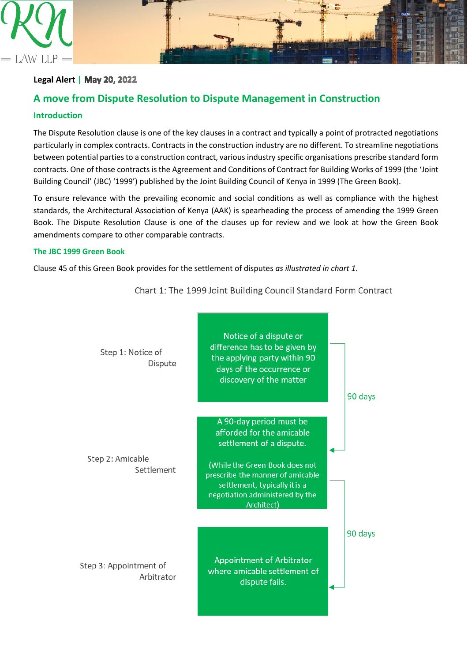

## **Legal Alert |**

# **A move from Dispute Resolution to Dispute Management in Construction**

## **Introduction**

The Dispute Resolution clause is one of the key clauses in a contract and typically a point of protracted negotiations particularly in complex contracts. Contracts in the construction industry are no different. To streamline negotiations between potential parties to a construction contract, various industry specific organisations prescribe standard form contracts. One of those contracts is the Agreement and Conditions of Contract for Building Works of 1999 (the 'Joint Building Council' (JBC) '1999') published by the Joint Building Council of Kenya in 1999 (The Green Book).

To ensure relevance with the prevailing economic and social conditions as well as compliance with the highest standards, the Architectural Association of Kenya (AAK) is spearheading the process of amending the 1999 Green Book. The Dispute Resolution Clause is one of the clauses up for review and we look at how the Green Book amendments compare to other comparable contracts.

### **The JBC 1999 Green Book**

Clause 45 of this Green Book provides for the settlement of disputes *as illustrated in chart 1*.



Chart 1: The 1999 Joint Building Council Standard Form Contract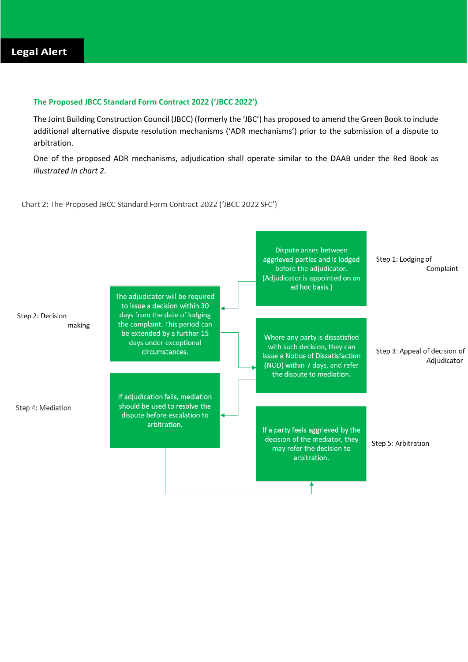## **The Proposed JBCC Standard Form Contract 2022 ('JBCC 2022')**

The Joint Building Construction Council (JBCC) (formerly the 'JBC') has proposed to amend the Green Book to include additional alternative dispute resolution mechanisms ('ADR mechanisms') prior to the submission of a dispute to arbitration.

One of the proposed ADR mechanisms, adjudication shall operate similar to the DAAB under the Red Book as *illustrated in chart 2*.

Chart 2: The Proposed JBCC Standard Form Contract 2022 ('JBCC 2022 SFC')

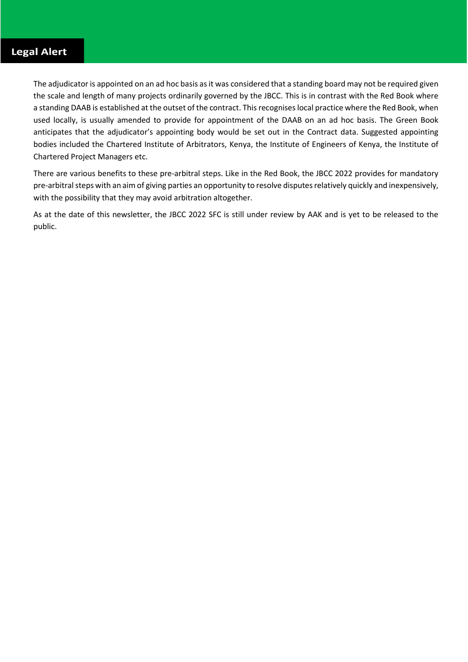The adjudicator is appointed on an ad hoc basis as it was considered that a standing board may not be required given the scale and length of many projects ordinarily governed by the JBCC. This is in contrast with the Red Book where a standing DAAB is established at the outset of the contract. This recognises local practice where the Red Book, when used locally, is usually amended to provide for appointment of the DAAB on an ad hoc basis. The Green Book anticipates that the adjudicator's appointing body would be set out in the Contract data. Suggested appointing bodies included the Chartered Institute of Arbitrators, Kenya, the Institute of Engineers of Kenya, the Institute of Chartered Project Managers etc.

There are various benefits to these pre-arbitral steps. Like in the Red Book, the JBCC 2022 provides for mandatory pre-arbitral steps with an aim of giving parties an opportunity to resolve disputes relatively quickly and inexpensively, with the possibility that they may avoid arbitration altogether.

As at the date of this newsletter, the JBCC 2022 SFC is still under review by AAK and is yet to be released to the public.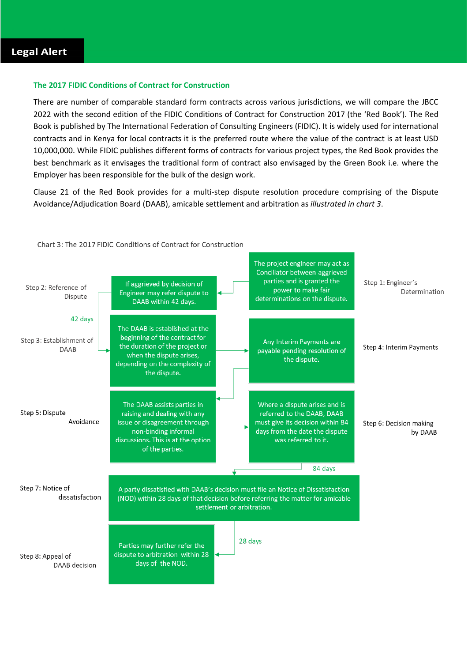## **The 2017 FIDIC Conditions of Contract for Construction**

There are number of comparable standard form contracts across various jurisdictions, we will compare the JBCC 2022 with the second edition of the FIDIC Conditions of Contract for Construction 2017 (the 'Red Book'). The Red Book is published by The International Federation of Consulting Engineers (FIDIC). It is widely used for international contracts and in Kenya for local contracts it is the preferred route where the value of the contract is at least USD 10,000,000. While FIDIC publishes different forms of contracts for various project types, the Red Book provides the best benchmark as it envisages the traditional form of contract also envisaged by the Green Book i.e. where the Employer has been responsible for the bulk of the design work.

Clause 21 of the Red Book provides for a multi-step dispute resolution procedure comprising of the Dispute Avoidance/Adjudication Board (DAAB), amicable settlement and arbitration as *illustrated in chart 3*.



Chart 3: The 2017 FIDIC Conditions of Contract for Construction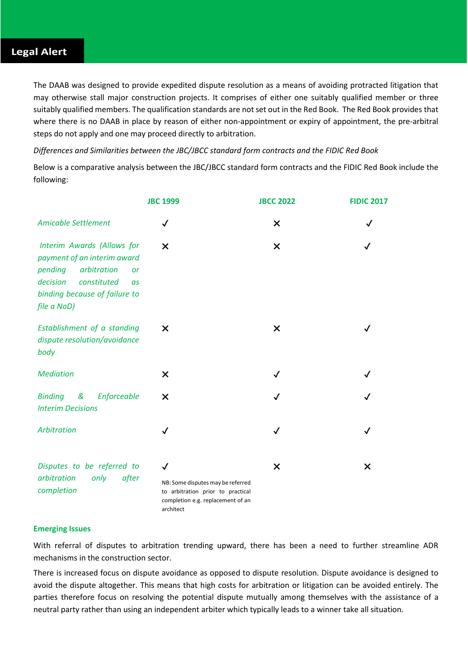## **Legal Alert**

The DAAB was designed to provide expedited dispute resolution as a means of avoiding protracted litigation that may otherwise stall major construction projects. It comprises of either one suitably qualified member or three suitably qualified members. The qualification standards are not set out in the Red Book. The Red Book provides that where there is no DAAB in place by reason of either non-appointment or expiry of appointment, the pre-arbitral steps do not apply and one may proceed directly to arbitration.

*Differences and Similarities between the JBC/JBCC standard form contracts and the FIDIC Red Book*

Below is a comparative analysis between the JBC/JBCC standard form contracts and the FIDIC Red Book include the following:

|                                                                                                                                                                                   | <b>JBC 1999</b>                                                                                                                          | <b>JBCC 2022</b> | <b>FIDIC 2017</b> |
|-----------------------------------------------------------------------------------------------------------------------------------------------------------------------------------|------------------------------------------------------------------------------------------------------------------------------------------|------------------|-------------------|
| <b>Amicable Settlement</b>                                                                                                                                                        | ✓                                                                                                                                        | X                | ✓                 |
| Interim Awards (Allows for<br>payment of an interim award<br>arbitration<br>pending<br><b>or</b><br>decision<br>constituted<br>as<br>binding because of failure to<br>file a NoD) | X                                                                                                                                        | $\times$         |                   |
| Establishment of a standing<br>dispute resolution/avoidance<br>body                                                                                                               | X                                                                                                                                        | $\times$         |                   |
| <b>Mediation</b>                                                                                                                                                                  | X                                                                                                                                        | $\checkmark$     |                   |
| <b>Binding</b><br>&<br>Enforceable<br><b>Interim Decisions</b>                                                                                                                    | $\boldsymbol{\mathsf{x}}$                                                                                                                | ✓                |                   |
| Arbitration                                                                                                                                                                       | ✓                                                                                                                                        | $\checkmark$     | $\checkmark$      |
| Disputes to be referred to<br>after<br>arbitration<br>only<br>completion                                                                                                          | $\checkmark$<br>NB: Some disputes may be referred<br>to arbitration prior to practical<br>completion e.g. replacement of an<br>architect | $\times$         | $\times$          |

### **Emerging Issues**

With referral of disputes to arbitration trending upward, there has been a need to further streamline ADR mechanisms in the construction sector.

There is increased focus on dispute avoidance as opposed to dispute resolution. Dispute avoidance is designed to avoid the dispute altogether. This means that high costs for arbitration or litigation can be avoided entirely. The parties therefore focus on resolving the potential dispute mutually among themselves with the assistance of a neutral party rather than using an independent arbiter which typically leads to a winner take all situation.